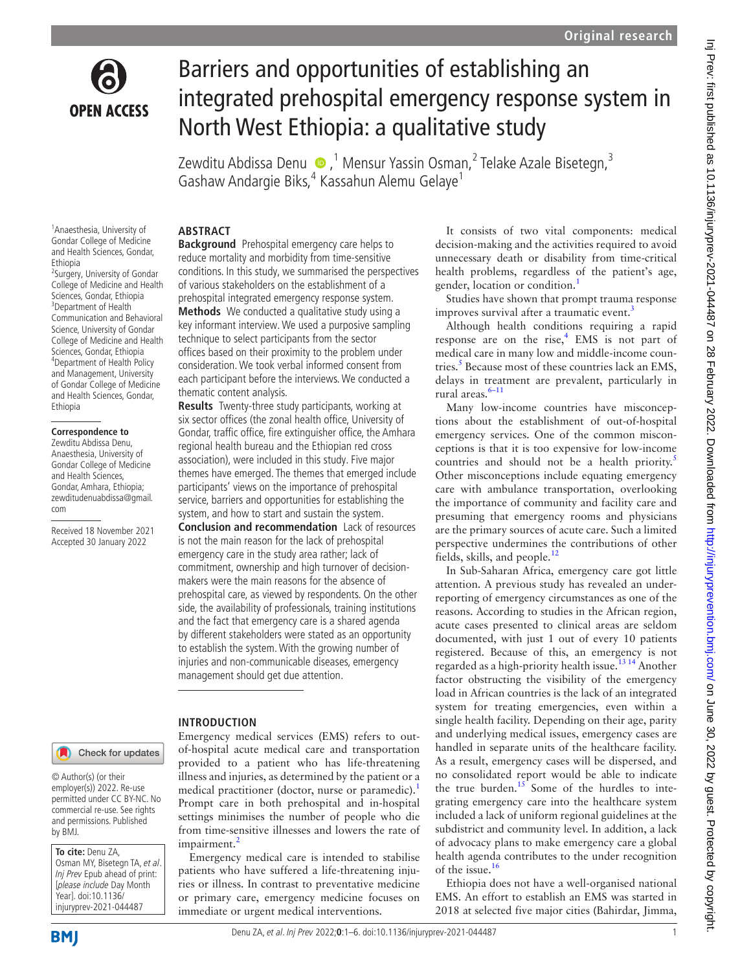

# Barriers and opportunities of establishing an integrated prehospital emergency response system in North West Ethiopia: a qualitative study

Zewditu Abdissa Denu � ,<sup>1</sup> Mensur Yassin Osman,<sup>2</sup> Telake Azale Bisetegn,<sup>3</sup> Gashaw Andargie Biks,<sup>4</sup> Kassahun Alemu Gelaye<sup>1</sup>

1 Anaesthesia, University of Gondar College of Medicine and Health Sciences, Gondar, Ethiopia

2 Surgery, University of Gondar College of Medicine and Health Sciences, Gondar, Ethiopia 3 Department of Health Communication and Behavioral Science, University of Gondar College of Medicine and Health Sciences, Gondar, Ethiopia 4 Department of Health Policy and Management, University of Gondar College of Medicine and Health Sciences, Gondar, Ethiopia

#### **Correspondence to**

Zewditu Abdissa Denu, Anaesthesia, University of Gondar College of Medicine and Health Sciences, Gondar, Amhara, Ethiopia; zewditudenuabdissa@gmail. com

Received 18 November 2021 Accepted 30 January 2022

## **ABSTRACT**

**Background** Prehospital emergency care helps to reduce mortality and morbidity from time-sensitive conditions. In this study, we summarised the perspectives of various stakeholders on the establishment of a prehospital integrated emergency response system. **Methods** We conducted a qualitative study using a key informant interview. We used a purposive sampling technique to select participants from the sector offices based on their proximity to the problem under consideration. We took verbal informed consent from each participant before the interviews. We conducted a thematic content analysis.

**Results** Twenty-three study participants, working at six sector offices (the zonal health office, University of Gondar, traffic office, fire extinguisher office, the Amhara regional health bureau and the Ethiopian red cross association), were included in this study. Five major themes have emerged. The themes that emerged include participants' views on the importance of prehospital service, barriers and opportunities for establishing the system, and how to start and sustain the system. **Conclusion and recommendation** Lack of resources is not the main reason for the lack of prehospital emergency care in the study area rather; lack of commitment, ownership and high turnover of decisionmakers were the main reasons for the absence of prehospital care, as viewed by respondents. On the other side, the availability of professionals, training institutions and the fact that emergency care is a shared agenda by different stakeholders were stated as an opportunity to establish the system. With the growing number of injuries and non-communicable diseases, emergency management should get due attention.

### **INTRODUCTION**

Check for updates

© Author(s) (or their employer(s)) 2022. Re-use permitted under CC BY-NC. No commercial re-use. See rights and permissions. Published by BMJ.

**To cite:** Denu ZA, Osman MY, Bisetegn TA, et al. Inj Prev Epub ahead of print: [please include Day Month Year]. doi:10.1136/ injuryprev-2021-044487

Emergency medical services (EMS) refers to outof-hospital acute medical care and transportation provided to a patient who has life-threatening illness and injuries, as determined by the patient or a medical practitioner (doctor, nurse or paramedic).<sup>[1](#page-5-0)</sup> Prompt care in both prehospital and in-hospital settings minimises the number of people who die from time-sensitive illnesses and lowers the rate of  $impairment.<sup>2</sup>$  $impairment.<sup>2</sup>$  $impairment.<sup>2</sup>$ 

Emergency medical care is intended to stabilise patients who have suffered a life-threatening injuries or illness. In contrast to preventative medicine or primary care, emergency medicine focuses on immediate or urgent medical interventions.

It consists of two vital components: medical decision-making and the activities required to avoid unnecessary death or disability from time-critical health problems, regardless of the patient's age, gender, location or condition.<sup>[1](#page-5-0)</sup>

Studies have shown that prompt trauma response improves survival after a traumatic event.<sup>3</sup>

Although health conditions requiring a rapid response are on the rise, $<sup>4</sup>$  EMS is not part of</sup> medical care in many low and middle-income coun-tries.<sup>[5](#page-5-4)</sup> Because most of these countries lack an EMS, delays in treatment are prevalent, particularly in rural areas.<sup>6-11</sup>

Many low-income countries have misconceptions about the establishment of out-of-hospital emergency services. One of the common misconceptions is that it is too expensive for low-income countries and should not be a health priority. $5$ Other misconceptions include equating emergency care with ambulance transportation, overlooking the importance of community and facility care and presuming that emergency rooms and physicians are the primary sources of acute care. Such a limited perspective undermines the contributions of other fields, skills, and people.<sup>12</sup>

In Sub-Saharan Africa, emergency care got little attention. A previous study has revealed an underreporting of emergency circumstances as one of the reasons. According to studies in the African region, acute cases presented to clinical areas are seldom documented, with just 1 out of every 10 patients registered. Because of this, an emergency is not regarded as a high-priority health issue.<sup>13 14</sup> Another factor obstructing the visibility of the emergency load in African countries is the lack of an integrated system for treating emergencies, even within a single health facility. Depending on their age, parity and underlying medical issues, emergency cases are handled in separate units of the healthcare facility. As a result, emergency cases will be dispersed, and no consolidated report would be able to indicate the true burden.<sup>[15](#page-5-8)</sup> Some of the hurdles to integrating emergency care into the healthcare system included a lack of uniform regional guidelines at the subdistrict and community level. In addition, a lack of advocacy plans to make emergency care a global health agenda contributes to the under recognition of the issue.<sup>[16](#page-5-9)</sup>

Ethiopia does not have a well-organised national EMS. An effort to establish an EMS was started in 2018 at selected five major cities (Bahirdar, Jimma,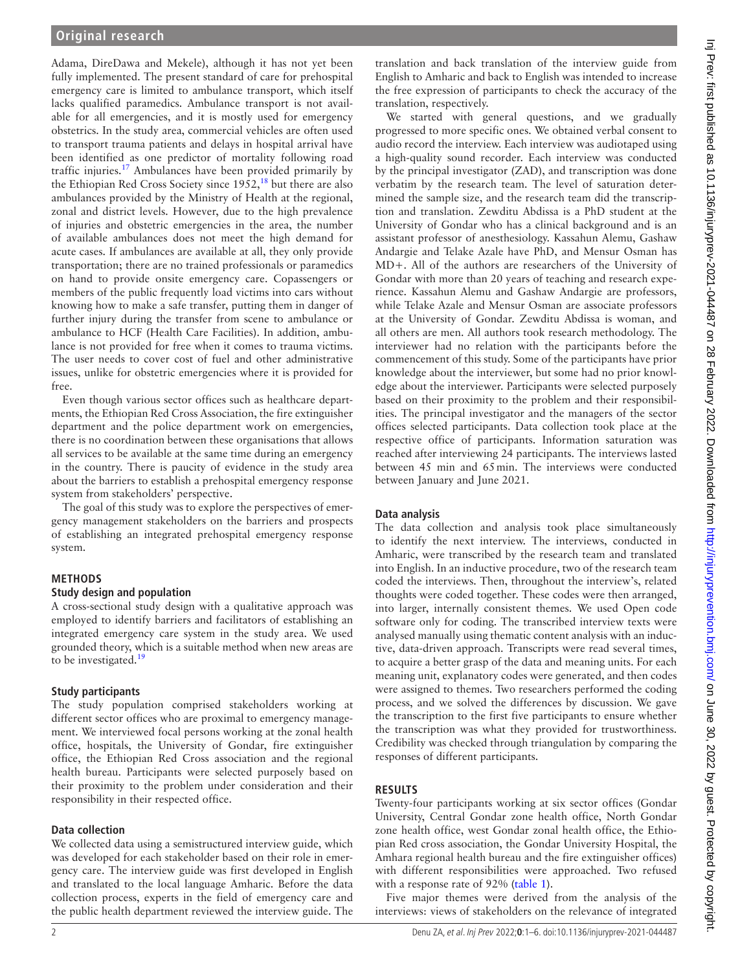Adama, DireDawa and Mekele), although it has not yet been fully implemented. The present standard of care for prehospital emergency care is limited to ambulance transport, which itself lacks qualified paramedics. Ambulance transport is not available for all emergencies, and it is mostly used for emergency obstetrics. In the study area, commercial vehicles are often used to transport trauma patients and delays in hospital arrival have been identified as one predictor of mortality following road traffic injuries.<sup>17</sup> Ambulances have been provided primarily by the Ethiopian Red Cross Society since  $1952$ ,<sup>[18](#page-5-11)</sup> but there are also ambulances provided by the Ministry of Health at the regional, zonal and district levels. However, due to the high prevalence of injuries and obstetric emergencies in the area, the number of available ambulances does not meet the high demand for acute cases. If ambulances are available at all, they only provide transportation; there are no trained professionals or paramedics on hand to provide onsite emergency care. Copassengers or members of the public frequently load victims into cars without knowing how to make a safe transfer, putting them in danger of further injury during the transfer from scene to ambulance or ambulance to HCF (Health Care Facilities). In addition, ambulance is not provided for free when it comes to trauma victims. The user needs to cover cost of fuel and other administrative issues, unlike for obstetric emergencies where it is provided for free.

Even though various sector offices such as healthcare departments, the Ethiopian Red Cross Association, the fire extinguisher department and the police department work on emergencies, there is no coordination between these organisations that allows all services to be available at the same time during an emergency in the country. There is paucity of evidence in the study area about the barriers to establish a prehospital emergency response system from stakeholders' perspective.

The goal of this study was to explore the perspectives of emergency management stakeholders on the barriers and prospects of establishing an integrated prehospital emergency response system.

### **METHODS**

#### **Study design and population**

A cross-sectional study design with a qualitative approach was employed to identify barriers and facilitators of establishing an integrated emergency care system in the study area. We used grounded theory, which is a suitable method when new areas are to be investigated.<sup>19</sup>

## **Study participants**

The study population comprised stakeholders working at different sector offices who are proximal to emergency management. We interviewed focal persons working at the zonal health office, hospitals, the University of Gondar, fire extinguisher office, the Ethiopian Red Cross association and the regional health bureau. Participants were selected purposely based on their proximity to the problem under consideration and their responsibility in their respected office.

#### **Data collection**

We collected data using a semistructured interview guide, which was developed for each stakeholder based on their role in emergency care. The interview guide was first developed in English and translated to the local language Amharic. Before the data collection process, experts in the field of emergency care and the public health department reviewed the interview guide. The

translation and back translation of the interview guide from English to Amharic and back to English was intended to increase the free expression of participants to check the accuracy of the translation, respectively.

We started with general questions, and we gradually progressed to more specific ones. We obtained verbal consent to audio record the interview. Each interview was audiotaped using a high-quality sound recorder. Each interview was conducted by the principal investigator (ZAD), and transcription was done verbatim by the research team. The level of saturation determined the sample size, and the research team did the transcription and translation. Zewditu Abdissa is a PhD student at the University of Gondar who has a clinical background and is an assistant professor of anesthesiology. Kassahun Alemu, Gashaw Andargie and Telake Azale have PhD, and Mensur Osman has MD+. All of the authors are researchers of the University of Gondar with more than 20 years of teaching and research experience. Kassahun Alemu and Gashaw Andargie are professors, while Telake Azale and Mensur Osman are associate professors at the University of Gondar. Zewditu Abdissa is woman, and all others are men. All authors took research methodology. The interviewer had no relation with the participants before the commencement of this study. Some of the participants have prior knowledge about the interviewer, but some had no prior knowledge about the interviewer. Participants were selected purposely based on their proximity to the problem and their responsibilities. The principal investigator and the managers of the sector offices selected participants. Data collection took place at the respective office of participants. Information saturation was reached after interviewing 24 participants. The interviews lasted between 45 min and 65min. The interviews were conducted between January and June 2021.

#### **Data analysis**

The data collection and analysis took place simultaneously to identify the next interview. The interviews, conducted in Amharic, were transcribed by the research team and translated into English. In an inductive procedure, two of the research team coded the interviews. Then, throughout the interview's, related thoughts were coded together. These codes were then arranged, into larger, internally consistent themes. We used Open code software only for coding. The transcribed interview texts were analysed manually using thematic content analysis with an inductive, data-driven approach. Transcripts were read several times, to acquire a better grasp of the data and meaning units. For each meaning unit, explanatory codes were generated, and then codes were assigned to themes. Two researchers performed the coding process, and we solved the differences by discussion. We gave the transcription to the first five participants to ensure whether the transcription was what they provided for trustworthiness. Credibility was checked through triangulation by comparing the responses of different participants.

#### **RESULTS**

Twenty-four participants working at six sector offices (Gondar University, Central Gondar zone health office, North Gondar zone health office, west Gondar zonal health office, the Ethiopian Red cross association, the Gondar University Hospital, the Amhara regional health bureau and the fire extinguisher offices) with different responsibilities were approached. Two refused with a response rate of 92% ([table](#page-2-0) 1).

Five major themes were derived from the analysis of the interviews: views of stakeholders on the relevance of integrated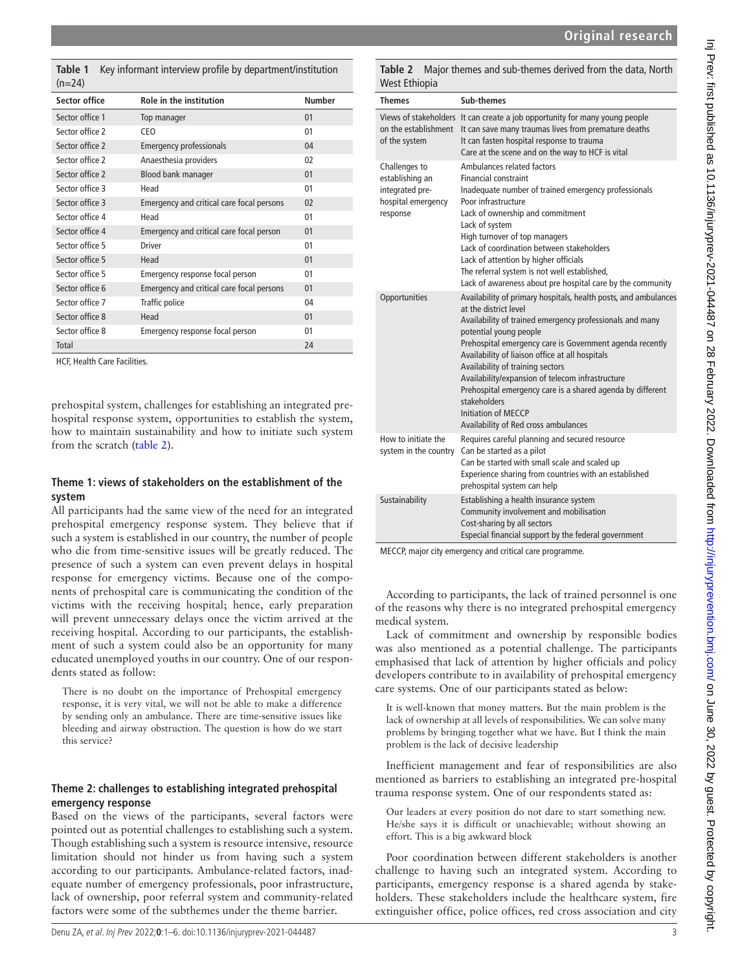<span id="page-2-0"></span>**Table 1** Key informant interview profile by department/institution  $(n=24)$ 

| <b>Sector office</b> | Role in the institution                   | <b>Number</b> |
|----------------------|-------------------------------------------|---------------|
| Sector office 1      | Top manager                               | 01            |
| Sector office 2      | CEO                                       | 01            |
| Sector office 2      | <b>Emergency professionals</b>            | 04            |
| Sector office 2      | Anaesthesia providers                     | 02            |
| Sector office 2      | Blood bank manager                        | 01            |
| Sector office 3      | Head                                      | 01            |
| Sector office 3      | Emergency and critical care focal persons | 02            |
| Sector office 4      | Head                                      | 01            |
| Sector office 4      | Emergency and critical care focal person  | 01            |
| Sector office 5      | <b>Driver</b>                             | 01            |
| Sector office 5      | Head                                      | 01            |
| Sector office 5      | Emergency response focal person           | 01            |
| Sector office 6      | Emergency and critical care focal persons | 01            |
| Sector office 7      | Traffic police                            | 04            |
| Sector office 8      | Head                                      | 01            |
| Sector office 8      | Emergency response focal person           | 01            |
| <b>Total</b>         |                                           | 24            |

HCF, Health Care Facilities.

prehospital system, challenges for establishing an integrated prehospital response system, opportunities to establish the system, how to maintain sustainability and how to initiate such system from the scratch ([table](#page-2-1) 2).

## **Theme 1: views of stakeholders on the establishment of the system**

All participants had the same view of the need for an integrated prehospital emergency response system. They believe that if such a system is established in our country, the number of people who die from time-sensitive issues will be greatly reduced. The presence of such a system can even prevent delays in hospital response for emergency victims. Because one of the components of prehospital care is communicating the condition of the victims with the receiving hospital; hence, early preparation will prevent unnecessary delays once the victim arrived at the receiving hospital. According to our participants, the establishment of such a system could also be an opportunity for many educated unemployed youths in our country. One of our respondents stated as follow:

There is no doubt on the importance of Prehospital emergency response, it is very vital, we will not be able to make a difference by sending only an ambulance. There are time-sensitive issues like bleeding and airway obstruction. The question is how do we start this service?

# **Theme 2: challenges to establishing integrated prehospital emergency response**

Based on the views of the participants, several factors were pointed out as potential challenges to establishing such a system. Though establishing such a system is resource intensive, resource limitation should not hinder us from having such a system according to our participants. Ambulance-related factors, inadequate number of emergency professionals, poor infrastructure, lack of ownership, poor referral system and community-related factors were some of the subthemes under the theme barrier.

<span id="page-2-1"></span>**Table 2** Major themes and sub-themes derived from the data, North West Ethiopia

| ,,,,,,,,,,,,,,,,                                                                      |                                                                                                                                                                                                                                                                                                                                                                                                                                                                                                                                    |  |
|---------------------------------------------------------------------------------------|------------------------------------------------------------------------------------------------------------------------------------------------------------------------------------------------------------------------------------------------------------------------------------------------------------------------------------------------------------------------------------------------------------------------------------------------------------------------------------------------------------------------------------|--|
| Themes                                                                                | <b>Sub-themes</b>                                                                                                                                                                                                                                                                                                                                                                                                                                                                                                                  |  |
| of the system                                                                         | Views of stakeholders It can create a job opportunity for many young people<br>on the establishment It can save many traumas lives from premature deaths<br>It can fasten hospital response to trauma<br>Care at the scene and on the way to HCF is vital                                                                                                                                                                                                                                                                          |  |
| Challenges to<br>establishing an<br>integrated pre-<br>hospital emergency<br>response | Ambulances related factors<br><b>Financial constraint</b><br>Inadequate number of trained emergency professionals<br>Poor infrastructure<br>Lack of ownership and commitment<br>Lack of system<br>High turnover of top managers<br>Lack of coordination between stakeholders<br>Lack of attention by higher officials<br>The referral system is not well established,<br>Lack of awareness about pre hospital care by the community                                                                                                |  |
| Opportunities                                                                         | Availability of primary hospitals, health posts, and ambulances<br>at the district level<br>Availability of trained emergency professionals and many<br>potential young people<br>Prehospital emergency care is Government agenda recently<br>Availability of liaison office at all hospitals<br>Availability of training sectors<br>Availability/expansion of telecom infrastructure<br>Prehospital emergency care is a shared agenda by different<br>stakeholders<br>Initiation of MFCCP<br>Availability of Red cross ambulances |  |
| How to initiate the<br>system in the country                                          | Requires careful planning and secured resource<br>Can be started as a pilot<br>Can be started with small scale and scaled up<br>Experience sharing from countries with an established<br>prehospital system can help                                                                                                                                                                                                                                                                                                               |  |
| Sustainability                                                                        | Establishing a health insurance system<br>Community involvement and mobilisation<br>Cost-sharing by all sectors<br>Especial financial support by the federal government                                                                                                                                                                                                                                                                                                                                                            |  |

MECCP, major city emergency and critical care programme.

According to participants, the lack of trained personnel is one of the reasons why there is no integrated prehospital emergency medical system.

Lack of commitment and ownership by responsible bodies was also mentioned as a potential challenge. The participants emphasised that lack of attention by higher officials and policy developers contribute to in availability of prehospital emergency care systems. One of our participants stated as below:

It is well-known that money matters. But the main problem is the lack of ownership at all levels of responsibilities. We can solve many problems by bringing together what we have. But I think the main problem is the lack of decisive leadership

Inefficient management and fear of responsibilities are also mentioned as barriers to establishing an integrated pre-hospital trauma response system. One of our respondents stated as:

Our leaders at every position do not dare to start something new. He/she says it is difficult or unachievable; without showing an effort. This is a big awkward block

Poor coordination between different stakeholders is another challenge to having such an integrated system. According to participants, emergency response is a shared agenda by stakeholders. These stakeholders include the healthcare system, fire extinguisher office, police offices, red cross association and city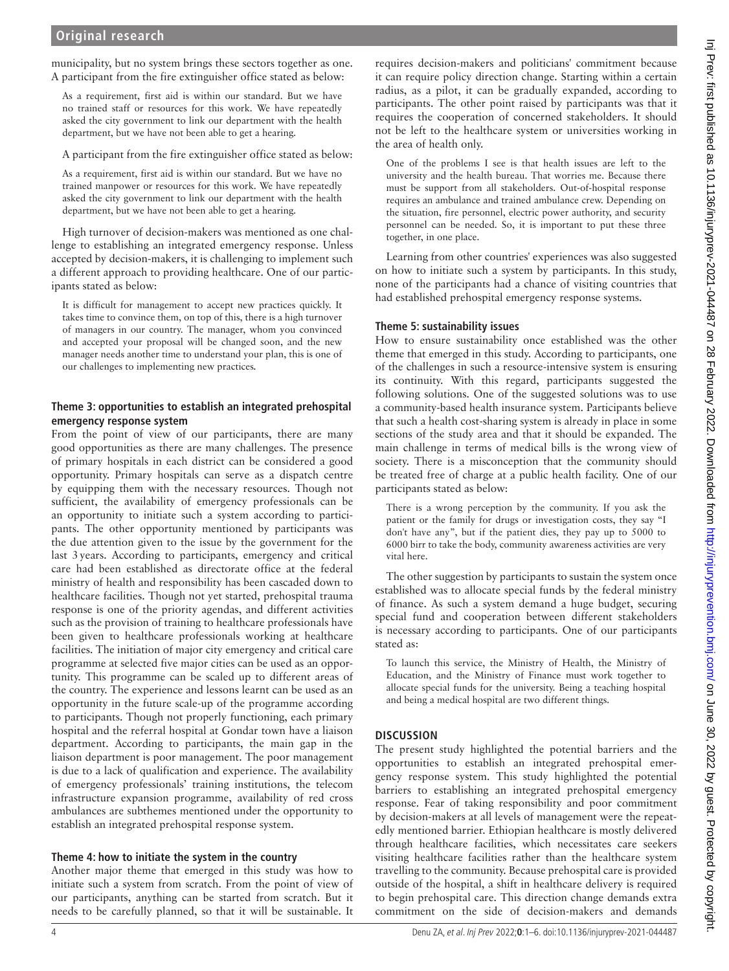municipality, but no system brings these sectors together as one. A participant from the fire extinguisher office stated as below:

As a requirement, first aid is within our standard. But we have no trained staff or resources for this work. We have repeatedly asked the city government to link our department with the health department, but we have not been able to get a hearing.

A participant from the fire extinguisher office stated as below:

As a requirement, first aid is within our standard. But we have no trained manpower or resources for this work. We have repeatedly asked the city government to link our department with the health department, but we have not been able to get a hearing.

High turnover of decision-makers was mentioned as one challenge to establishing an integrated emergency response. Unless accepted by decision-makers, it is challenging to implement such a different approach to providing healthcare. One of our participants stated as below:

It is difficult for management to accept new practices quickly. It takes time to convince them, on top of this, there is a high turnover of managers in our country. The manager, whom you convinced and accepted your proposal will be changed soon, and the new manager needs another time to understand your plan, this is one of our challenges to implementing new practices*.*

## **Theme 3: opportunities to establish an integrated prehospital emergency response system**

From the point of view of our participants, there are many good opportunities as there are many challenges. The presence of primary hospitals in each district can be considered a good opportunity. Primary hospitals can serve as a dispatch centre by equipping them with the necessary resources. Though not sufficient, the availability of emergency professionals can be an opportunity to initiate such a system according to participants. The other opportunity mentioned by participants was the due attention given to the issue by the government for the last 3years. According to participants, emergency and critical care had been established as directorate office at the federal ministry of health and responsibility has been cascaded down to healthcare facilities. Though not yet started, prehospital trauma response is one of the priority agendas, and different activities such as the provision of training to healthcare professionals have been given to healthcare professionals working at healthcare facilities. The initiation of major city emergency and critical care programme at selected five major cities can be used as an opportunity. This programme can be scaled up to different areas of the country. The experience and lessons learnt can be used as an opportunity in the future scale-up of the programme according to participants. Though not properly functioning, each primary hospital and the referral hospital at Gondar town have a liaison department. According to participants, the main gap in the liaison department is poor management. The poor management is due to a lack of qualification and experience. The availability of emergency professionals' training institutions, the telecom infrastructure expansion programme, availability of red cross ambulances are subthemes mentioned under the opportunity to establish an integrated prehospital response system.

## **Theme 4: how to initiate the system in the country**

Another major theme that emerged in this study was how to initiate such a system from scratch. From the point of view of our participants, anything can be started from scratch. But it needs to be carefully planned, so that it will be sustainable. It

requires decision-makers and politicians' commitment because it can require policy direction change. Starting within a certain radius, as a pilot, it can be gradually expanded, according to participants. The other point raised by participants was that it requires the cooperation of concerned stakeholders. It should not be left to the healthcare system or universities working in the area of health only.

One of the problems I see is that health issues are left to the university and the health bureau. That worries me. Because there must be support from all stakeholders. Out-of-hospital response requires an ambulance and trained ambulance crew. Depending on the situation, fire personnel, electric power authority, and security personnel can be needed. So, it is important to put these three together, in one place.

Learning from other countries' experiences was also suggested on how to initiate such a system by participants. In this study, none of the participants had a chance of visiting countries that had established prehospital emergency response systems.

## **Theme 5: sustainability issues**

How to ensure sustainability once established was the other theme that emerged in this study. According to participants, one of the challenges in such a resource-intensive system is ensuring its continuity. With this regard, participants suggested the following solutions. One of the suggested solutions was to use a community-based health insurance system. Participants believe that such a health cost-sharing system is already in place in some sections of the study area and that it should be expanded. The main challenge in terms of medical bills is the wrong view of society. There is a misconception that the community should be treated free of charge at a public health facility. One of our participants stated as below:

There is a wrong perception by the community. If you ask the patient or the family for drugs or investigation costs, they say "I don't have any", but if the patient dies, they pay up to 5000 to 6000 birr to take the body, community awareness activities are very vital here.

The other suggestion by participants to sustain the system once established was to allocate special funds by the federal ministry of finance. As such a system demand a huge budget, securing special fund and cooperation between different stakeholders is necessary according to participants. One of our participants stated as:

To launch this service, the Ministry of Health, the Ministry of Education, and the Ministry of Finance must work together to allocate special funds for the university. Being a teaching hospital and being a medical hospital are two different things.

# **DISCUSSION**

The present study highlighted the potential barriers and the opportunities to establish an integrated prehospital emergency response system. This study highlighted the potential barriers to establishing an integrated prehospital emergency response. Fear of taking responsibility and poor commitment by decision-makers at all levels of management were the repeatedly mentioned barrier. Ethiopian healthcare is mostly delivered through healthcare facilities, which necessitates care seekers visiting healthcare facilities rather than the healthcare system travelling to the community. Because prehospital care is provided outside of the hospital, a shift in healthcare delivery is required to begin prehospital care. This direction change demands extra commitment on the side of decision-makers and demands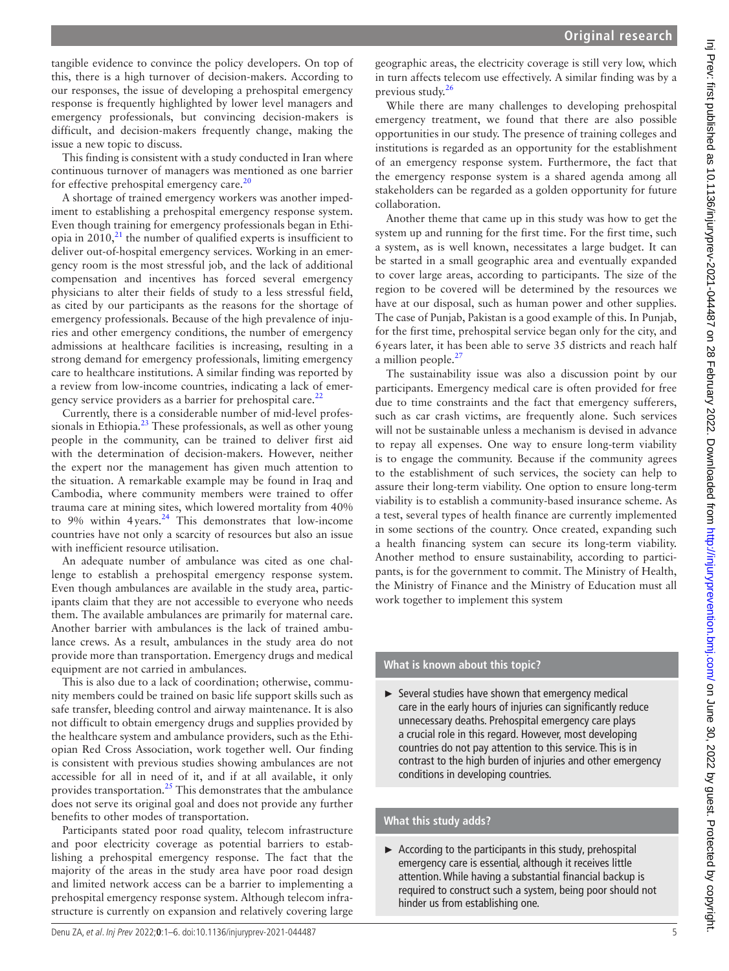tangible evidence to convince the policy developers. On top of this, there is a high turnover of decision-makers. According to our responses, the issue of developing a prehospital emergency response is frequently highlighted by lower level managers and emergency professionals, but convincing decision-makers is difficult, and decision-makers frequently change, making the issue a new topic to discuss.

This finding is consistent with a study conducted in Iran where continuous turnover of managers was mentioned as one barrier for effective prehospital emergency care.<sup>[20](#page-5-13)</sup>

A shortage of trained emergency workers was another impediment to establishing a prehospital emergency response system. Even though training for emergency professionals began in Ethiopia in  $2010$ , $^{21}$  $^{21}$  $^{21}$  the number of qualified experts is insufficient to deliver out-of-hospital emergency services. Working in an emergency room is the most stressful job, and the lack of additional compensation and incentives has forced several emergency physicians to alter their fields of study to a less stressful field, as cited by our participants as the reasons for the shortage of emergency professionals. Because of the high prevalence of injuries and other emergency conditions, the number of emergency admissions at healthcare facilities is increasing, resulting in a strong demand for emergency professionals, limiting emergency care to healthcare institutions. A similar finding was reported by a review from low-income countries, indicating a lack of emergency service providers as a barrier for prehospital care. $^{22}$  $^{22}$  $^{22}$ 

Currently, there is a considerable number of mid-level professionals in Ethiopia.<sup>23</sup> These professionals, as well as other young people in the community, can be trained to deliver first aid with the determination of decision-makers. However, neither the expert nor the management has given much attention to the situation. A remarkable example may be found in Iraq and Cambodia, where community members were trained to offer trauma care at mining sites, which lowered mortality from 40% to 9% within 4 years. $24$  This demonstrates that low-income countries have not only a scarcity of resources but also an issue with inefficient resource utilisation.

An adequate number of ambulance was cited as one challenge to establish a prehospital emergency response system. Even though ambulances are available in the study area, participants claim that they are not accessible to everyone who needs them. The available ambulances are primarily for maternal care. Another barrier with ambulances is the lack of trained ambulance crews. As a result, ambulances in the study area do not provide more than transportation. Emergency drugs and medical equipment are not carried in ambulances.

This is also due to a lack of coordination; otherwise, community members could be trained on basic life support skills such as safe transfer, bleeding control and airway maintenance. It is also not difficult to obtain emergency drugs and supplies provided by the healthcare system and ambulance providers, such as the Ethiopian Red Cross Association, work together well. Our finding is consistent with previous studies showing ambulances are not accessible for all in need of it, and if at all available, it only provides transportation.[25](#page-5-18) This demonstrates that the ambulance does not serve its original goal and does not provide any further benefits to other modes of transportation.

Participants stated poor road quality, telecom infrastructure and poor electricity coverage as potential barriers to establishing a prehospital emergency response. The fact that the majority of the areas in the study area have poor road design and limited network access can be a barrier to implementing a prehospital emergency response system. Although telecom infrastructure is currently on expansion and relatively covering large

geographic areas, the electricity coverage is still very low, which in turn affects telecom use effectively. A similar finding was by a previous study[.26](#page-5-19)

While there are many challenges to developing prehospital emergency treatment, we found that there are also possible opportunities in our study. The presence of training colleges and institutions is regarded as an opportunity for the establishment of an emergency response system. Furthermore, the fact that the emergency response system is a shared agenda among all stakeholders can be regarded as a golden opportunity for future collaboration.

Another theme that came up in this study was how to get the system up and running for the first time. For the first time, such a system, as is well known, necessitates a large budget. It can be started in a small geographic area and eventually expanded to cover large areas, according to participants. The size of the region to be covered will be determined by the resources we have at our disposal, such as human power and other supplies. The case of Punjab, Pakistan is a good example of this. In Punjab, for the first time, prehospital service began only for the city, and 6years later, it has been able to serve 35 districts and reach half a million people. $27$ 

The sustainability issue was also a discussion point by our participants. Emergency medical care is often provided for free due to time constraints and the fact that emergency sufferers, such as car crash victims, are frequently alone. Such services will not be sustainable unless a mechanism is devised in advance to repay all expenses. One way to ensure long-term viability is to engage the community. Because if the community agrees to the establishment of such services, the society can help to assure their long-term viability. One option to ensure long-term viability is to establish a community-based insurance scheme. As a test, several types of health finance are currently implemented in some sections of the country. Once created, expanding such a health financing system can secure its long-term viability. Another method to ensure sustainability, according to participants, is for the government to commit. The Ministry of Health, the Ministry of Finance and the Ministry of Education must all work together to implement this system

## **What is known about this topic?**

► Several studies have shown that emergency medical care in the early hours of injuries can significantly reduce unnecessary deaths. Prehospital emergency care plays a crucial role in this regard. However, most developing countries do not pay attention to this service. This is in contrast to the high burden of injuries and other emergency conditions in developing countries.

## **What this study adds?**

 $\triangleright$  According to the participants in this study, prehospital emergency care is essential, although it receives little attention. While having a substantial financial backup is required to construct such a system, being poor should not hinder us from establishing one.